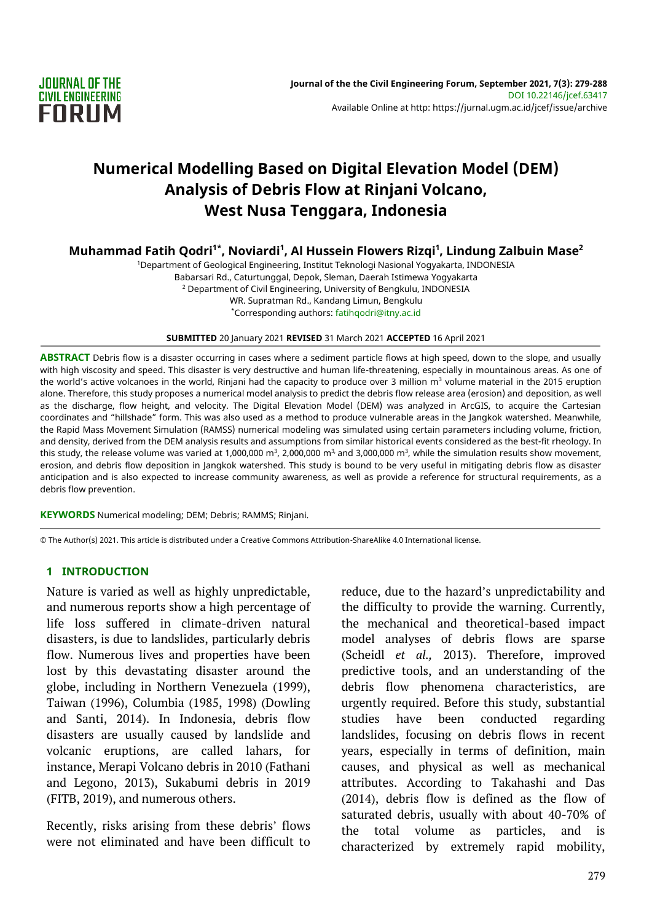

# **Numerical Modelling Based on Digital Elevation Model (DEM) Analysis of Debris Flow at Rinjani Volcano, West Nusa Tenggara, Indonesia**

**Muhammad Fatih Qodri1\*, Noviardi<sup>1</sup> , Al Hussein Flowers Rizqi<sup>1</sup> , Lindung Zalbuin Mase<sup>2</sup>**

<sup>1</sup>Department of Geological Engineering, Institut Teknologi Nasional Yogyakarta, INDONESIA Babarsari Rd., Caturtunggal, Depok, Sleman, Daerah Istimewa Yogyakarta <sup>2</sup> Department of Civil Engineering, University of Bengkulu, INDONESIA WR. Supratman Rd., Kandang Limun, Bengkulu \*Corresponding authors: fatihqodri@itny.ac.id

**SUBMITTED** 20 January 2021 **REVISED** 31 March 2021 **ACCEPTED** 16 April 2021

**ABSTRACT** Debris flow is a disaster occurring in cases where a sediment particle flows at high speed, down to the slope, and usually with high viscosity and speed. This disaster is very destructive and human life-threatening, especially in mountainous areas. As one of the world's active volcanoes in the world, Rinjani had the capacity to produce over 3 million  $m<sup>3</sup>$  volume material in the 2015 eruption alone. Therefore, this study proposes a numerical model analysis to predict the debris flow release area (erosion) and deposition, as well as the discharge, flow height, and velocity. The Digital Elevation Model (DEM) was analyzed in ArcGIS, to acquire the Cartesian coordinates and "hillshade" form. This was also used as a method to produce vulnerable areas in the Jangkok watershed. Meanwhile, the Rapid Mass Movement Simulation (RAMSS) numerical modeling was simulated using certain parameters including volume, friction, and density, derived from the DEM analysis results and assumptions from similar historical events considered as the best-fit rheology. In this study, the release volume was varied at 1,000,000 m $^3$  2,000,000 m $^3$  and 3,000,000 m $^3$ , while the simulation results show movement, erosion, and debris flow deposition in Jangkok watershed. This study is bound to be very useful in mitigating debris flow as disaster anticipation and is also expected to increase community awareness, as well as provide a reference for structural requirements, as a debris flow prevention.

**KEYWORDS** Numerical modeling; DEM; Debris; RAMMS; Rinjani.

© The Author(s) 2021. This article is distributed under a Creative Commons Attribution-ShareAlike 4.0 International license.

#### **1 INTRODUCTION**

Nature is varied as well as highly unpredictable, and numerous reports show a high percentage of life loss suffered in climate-driven natural disasters, is due to landslides, particularly debris flow. Numerous lives and properties have been lost by this devastating disaster around the globe, including in Northern Venezuela (1999), Taiwan (1996), Columbia (1985, 1998) (Dowling and Santi, 2014). In Indonesia, debris flow disasters are usually caused by landslide and volcanic eruptions, are called lahars, for instance, Merapi Volcano debris in 2010 (Fathani and Legono, 2013), Sukabumi debris in 2019 (FITB, 2019), and numerous others.

Recently, risks arising from these debris' flows were not eliminated and have been difficult to

reduce, due to the hazard's unpredictability and the difficulty to provide the warning. Currently, the mechanical and theoretical-based impact model analyses of debris flows are sparse (Scheidl *et al.,* 2013). Therefore, improved predictive tools, and an understanding of the debris flow phenomena characteristics, are urgently required. Before this study, substantial studies have been conducted regarding landslides, focusing on debris flows in recent years, especially in terms of definition, main causes, and physical as well as mechanical attributes. According to Takahashi and Das (2014), debris flow is defined as the flow of saturated debris, usually with about 40-70% of the total volume as particles, and is characterized by extremely rapid mobility,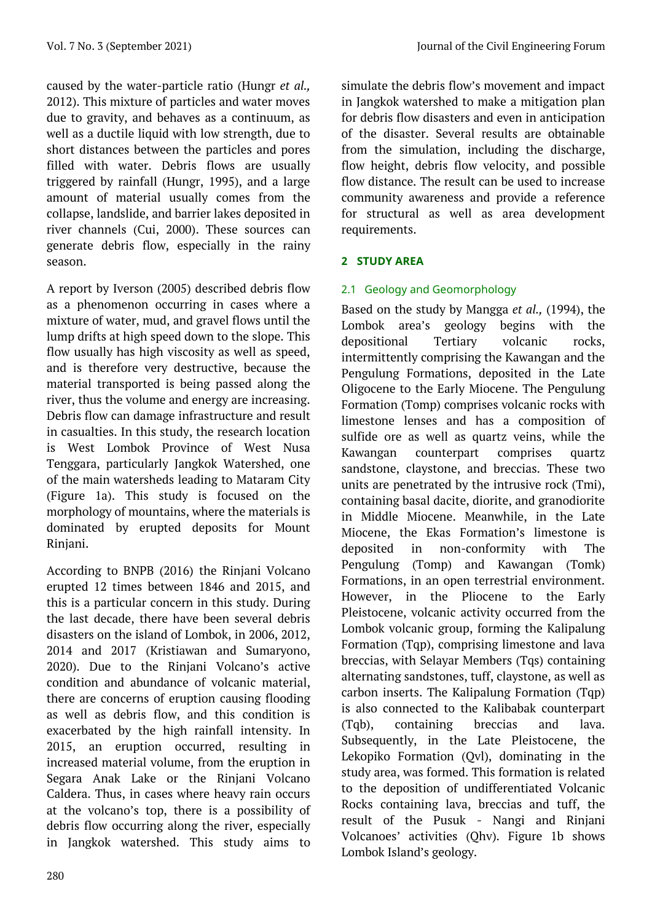caused by the water-particle ratio (Hungr *et al.,* 2012). This mixture of particles and water moves due to gravity, and behaves as a continuum, as well as a ductile liquid with low strength, due to short distances between the particles and pores filled with water. Debris flows are usually triggered by rainfall (Hungr, 1995), and a large amount of material usually comes from the collapse, landslide, and barrier lakes deposited in river channels (Cui, 2000). These sources can generate debris flow, especially in the rainy season.

A report by Iverson (2005) described debris flow as a phenomenon occurring in cases where a mixture of water, mud, and gravel flows until the lump drifts at high speed down to the slope. This flow usually has high viscosity as well as speed, and is therefore very destructive, because the material transported is being passed along the river, thus the volume and energy are increasing. Debris flow can damage infrastructure and result in casualties. In this study, the research location is West Lombok Province of West Nusa Tenggara, particularly Jangkok Watershed, one of the main watersheds leading to Mataram City (Figure 1a). This study is focused on the morphology of mountains, where the materials is dominated by erupted deposits for Mount Rinjani.

According to BNPB (2016) the Rinjani Volcano erupted 12 times between 1846 and 2015, and this is a particular concern in this study. During the last decade, there have been several debris disasters on the island of Lombok, in 2006, 2012, 2014 and 2017 (Kristiawan and Sumaryono, 2020). Due to the Rinjani Volcano's active condition and abundance of volcanic material, there are concerns of eruption causing flooding as well as debris flow, and this condition is exacerbated by the high rainfall intensity. In 2015, an eruption occurred, resulting in increased material volume, from the eruption in Segara Anak Lake or the Rinjani Volcano Caldera. Thus, in cases where heavy rain occurs at the volcano's top, there is a possibility of debris flow occurring along the river, especially in Jangkok watershed. This study aims to simulate the debris flow's movement and impact in Jangkok watershed to make a mitigation plan for debris flow disasters and even in anticipation of the disaster. Several results are obtainable from the simulation, including the discharge, flow height, debris flow velocity, and possible flow distance. The result can be used to increase community awareness and provide a reference for structural as well as area development requirements.

# **2 STUDY AREA**

# 2.1 Geology and Geomorphology

Based on the study by Mangga *et al.,* (1994), the Lombok area's geology begins with the depositional Tertiary volcanic rocks, intermittently comprising the Kawangan and the Pengulung Formations, deposited in the Late Oligocene to the Early Miocene. The Pengulung Formation (Tomp) comprises volcanic rocks with limestone lenses and has a composition of sulfide ore as well as quartz veins, while the Kawangan counterpart comprises quartz sandstone, claystone, and breccias. These two units are penetrated by the intrusive rock (Tmi), containing basal dacite, diorite, and granodiorite in Middle Miocene. Meanwhile, in the Late Miocene, the Ekas Formation's limestone is deposited in non-conformity with The Pengulung (Tomp) and Kawangan (Tomk) Formations, in an open terrestrial environment. However, in the Pliocene to the Early Pleistocene, volcanic activity occurred from the Lombok volcanic group, forming the Kalipalung Formation (Tqp), comprising limestone and lava breccias, with Selayar Members (Tqs) containing alternating sandstones, tuff, claystone, as well as carbon inserts. The Kalipalung Formation (Tqp) is also connected to the Kalibabak counterpart (Tqb), containing breccias and lava. Subsequently, in the Late Pleistocene, the Lekopiko Formation (Qvl), dominating in the study area, was formed. This formation is related to the deposition of undifferentiated Volcanic Rocks containing lava, breccias and tuff, the result of the Pusuk - Nangi and Rinjani Volcanoes' activities (Qhv). Figure 1b shows Lombok Island's geology.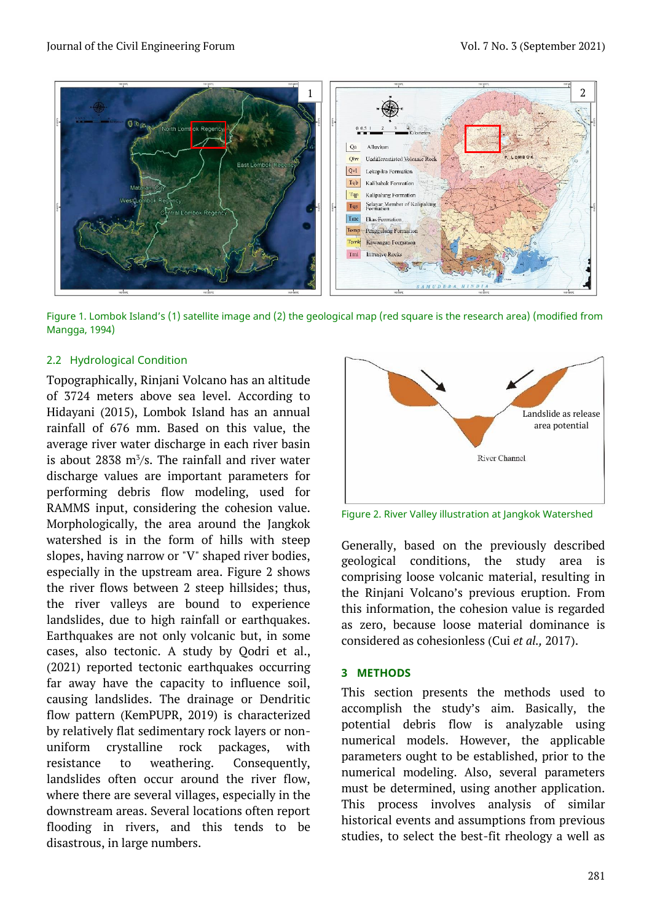

Figure 1. Lombok Island's (1) satellite image and (2) the geological map (red square is the research area) (modified from Mangga, 1994)

# 2.2 Hydrological Condition

Topographically, Rinjani Volcano has an altitude of 3724 meters above sea level. According to Hidayani (2015), Lombok Island has an annual rainfall of 676 mm. Based on this value, the average river water discharge in each river basin is about  $2838 \text{ m}^3/\text{s}$ . The rainfall and river water discharge values are important parameters for performing debris flow modeling, used for RAMMS input, considering the cohesion value. Morphologically, the area around the Jangkok watershed is in the form of hills with steep slopes, having narrow or "V" shaped river bodies, especially in the upstream area. Figure 2 shows the river flows between 2 steep hillsides; thus, the river valleys are bound to experience landslides, due to high rainfall or earthquakes. Earthquakes are not only volcanic but, in some cases, also tectonic. A study by Qodri et al., (2021) reported tectonic earthquakes occurring far away have the capacity to influence soil, causing landslides. The drainage or Dendritic flow pattern (KemPUPR, 2019) is characterized by relatively flat sedimentary rock layers or nonuniform crystalline rock packages, with resistance to weathering. Consequently, landslides often occur around the river flow, where there are several villages, especially in the downstream areas. Several locations often report flooding in rivers, and this tends to be disastrous, in large numbers.



Figure 2. River Valley illustration at Jangkok Watershed

Generally, based on the previously described geological conditions, the study area is comprising loose volcanic material, resulting in the Rinjani Volcano's previous eruption. From this information, the cohesion value is regarded as zero, because loose material dominance is considered as cohesionless (Cui *et al.,* 2017).

## **3 METHODS**

This section presents the methods used to accomplish the study's aim. Basically, the potential debris flow is analyzable using numerical models. However, the applicable parameters ought to be established, prior to the numerical modeling. Also, several parameters must be determined, using another application. This process involves analysis of similar historical events and assumptions from previous studies, to select the best-fit rheology a well as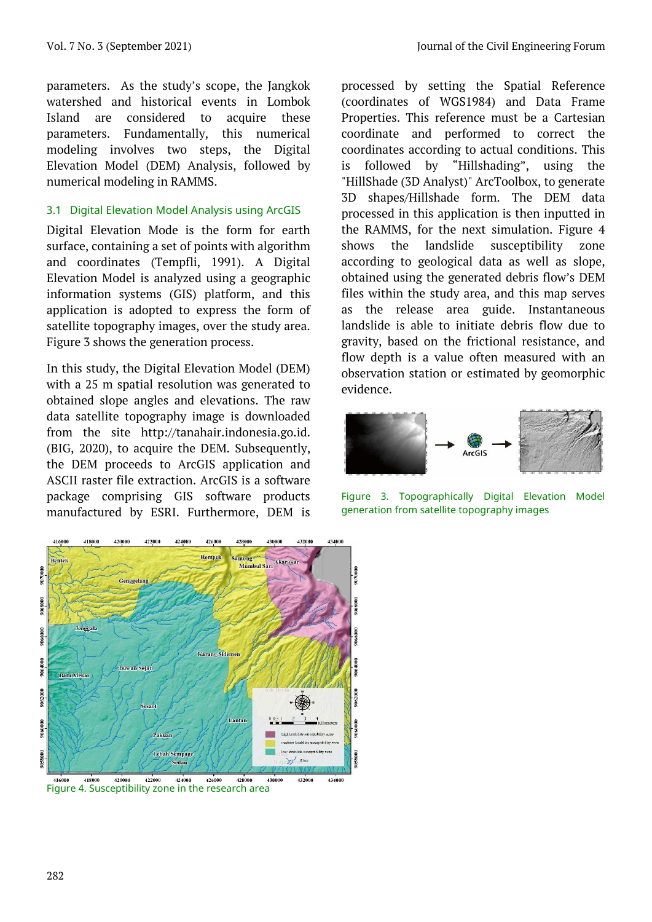parameters. As the study's scope, the Jangkok watershed and historical events in Lombok Island are considered to acquire these parameters. Fundamentally, this numerical modeling involves two steps, the Digital Elevation Model (DEM) Analysis, followed by numerical modeling in RAMMS.

## 3.1 Digital Elevation Model Analysis using ArcGIS

Digital Elevation Mode is the form for earth surface, containing a set of points with algorithm and coordinates (Tempfli, 1991). A Digital Elevation Model is analyzed using a geographic information systems (GIS) platform, and this application is adopted to express the form of satellite topography images, over the study area. Figure 3 shows the generation process.

In this study, the Digital Elevation Model (DEM) with a 25 m spatial resolution was generated to obtained slope angles and elevations. The raw data satellite topography image is downloaded from the site [http://tanahair.indonesia.go.id.](http://tanahair.indonesia.go.id/) (BIG, 2020), to acquire the DEM. Subsequently, the DEM proceeds to ArcGIS application and ASCII raster file extraction. ArcGIS is a software package comprising GIS software products manufactured by ESRI. Furthermore, DEM is processed by setting the Spatial Reference (coordinates of WGS1984) and Data Frame Properties. This reference must be a Cartesian coordinate and performed to correct the coordinates according to actual conditions. This is followed by "Hillshading", using the "HillShade (3D Analyst)" ArcToolbox, to generate 3D shapes/Hillshade form. The DEM data processed in this application is then inputted in the RAMMS, for the next simulation. Figure 4 shows the landslide susceptibility zone according to geological data as well as slope, obtained using the generated debris flow's DEM files within the study area, and this map serves as the release area guide. Instantaneous landslide is able to initiate debris flow due to gravity, based on the frictional resistance, and flow depth is a value often measured with an observation station or estimated by geomorphic evidence.



Figure 3. Topographically Digital Elevation Model generation from satellite topography images



Figure 4. Susceptibility zone in the research area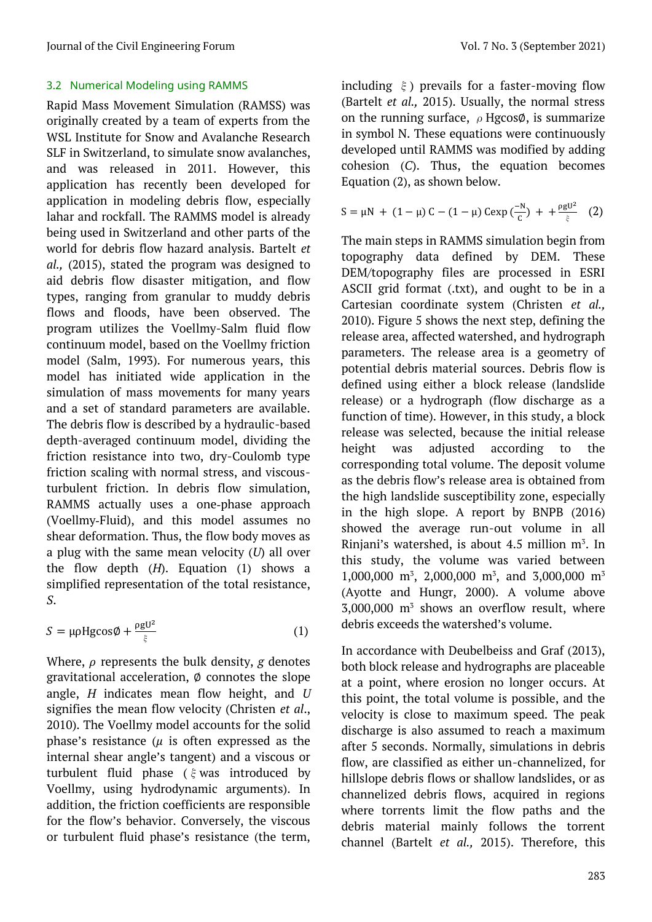# 3.2 Numerical Modeling using RAMMS

Rapid Mass Movement Simulation (RAMSS) was originally created by a team of experts from the WSL Institute for Snow and Avalanche Research SLF in Switzerland, to simulate snow avalanches, and was released in 2011. However, this application has recently been developed for application in modeling debris flow, especially lahar and rockfall. The RAMMS model is already being used in Switzerland and other parts of the world for debris flow hazard analysis. Bartelt *et al.,* (2015), stated the program was designed to aid debris flow disaster mitigation, and flow types, ranging from granular to muddy debris flows and floods, have been observed. The program utilizes the Voellmy-Salm fluid flow continuum model, based on the Voellmy friction model (Salm, 1993). For numerous years, this model has initiated wide application in the simulation of mass movements for many years and a set of standard parameters are available. The debris flow is described by a hydraulic-based depth-averaged continuum model, dividing the friction resistance into two, dry-Coulomb type friction scaling with normal stress, and viscousturbulent friction. In debris flow simulation, RAMMS actually uses a one‐phase approach (Voellmy‐Fluid), and this model assumes no shear deformation. Thus, the flow body moves as a plug with the same mean velocity (*U*) all over the flow depth (*H*). Equation (1) shows a simplified representation of the total resistance, *S*.

$$
S = \mu \rho H g \cos \phi + \frac{\rho g U^2}{\xi} \tag{1}
$$

Where,  $\rho$  represents the bulk density,  $g$  denotes gravitational acceleration,  $\emptyset$  connotes the slope angle, *H* indicates mean flow height, and *U* signifies the mean flow velocity (Christen *et al*., 2010). The Voellmy model accounts for the solid phase's resistance ( $\mu$  is often expressed as the internal shear angle's tangent) and a viscous or turbulent fluid phase (ξwas introduced by Voellmy, using hydrodynamic arguments). In addition, the friction coefficients are responsible for the flow's behavior. Conversely, the viscous or turbulent fluid phase's resistance (the term, including  $\xi$ ) prevails for a faster-moving flow (Bartelt *et al.,* 2015). Usually, the normal stress on the running surface,  $\rho$  HgcosØ, is summarize in symbol N. These equations were continuously developed until RAMMS was modified by adding cohesion (*C*). Thus, the equation becomes Equation (2), as shown below.

$$
S = \mu N + (1 - \mu) C - (1 - \mu) C \exp(\frac{-N}{C}) + + \frac{\rho g U^2}{\xi}
$$
 (2)

The main steps in RAMMS simulation begin from topography data defined by DEM. These DEM/topography files are processed in ESRI ASCII grid format (.txt), and ought to be in a Cartesian coordinate system (Christen *et al.,* 2010). Figure 5 shows the next step, defining the release area, affected watershed, and hydrograph parameters. The release area is a geometry of potential debris material sources. Debris flow is defined using either a block release (landslide release) or a hydrograph (flow discharge as a function of time). However, in this study, a block release was selected, because the initial release height was adjusted according to the corresponding total volume. The deposit volume as the debris flow's release area is obtained from the high landslide susceptibility zone, especially in the high slope. A report by BNPB (2016) showed the average run-out volume in all Rinjani's watershed, is about  $4.5$  million  $m^3$ . In this study, the volume was varied between 1,000,000 m<sup>3</sup>, 2,000,000 m<sup>3</sup>, and 3,000,000 m<sup>3</sup> (Ayotte and Hungr, 2000). A volume above  $3,000,000$  m<sup>3</sup> shows an overflow result, where debris exceeds the watershed's volume.

In accordance with Deubelbeiss and Graf (2013), both block release and hydrographs are placeable at a point, where erosion no longer occurs. At this point, the total volume is possible, and the velocity is close to maximum speed. The peak discharge is also assumed to reach a maximum after 5 seconds. Normally, simulations in debris flow, are classified as either un-channelized, for hillslope debris flows or shallow landslides, or as channelized debris flows, acquired in regions where torrents limit the flow paths and the debris material mainly follows the torrent channel (Bartelt *et al.,* 2015). Therefore, this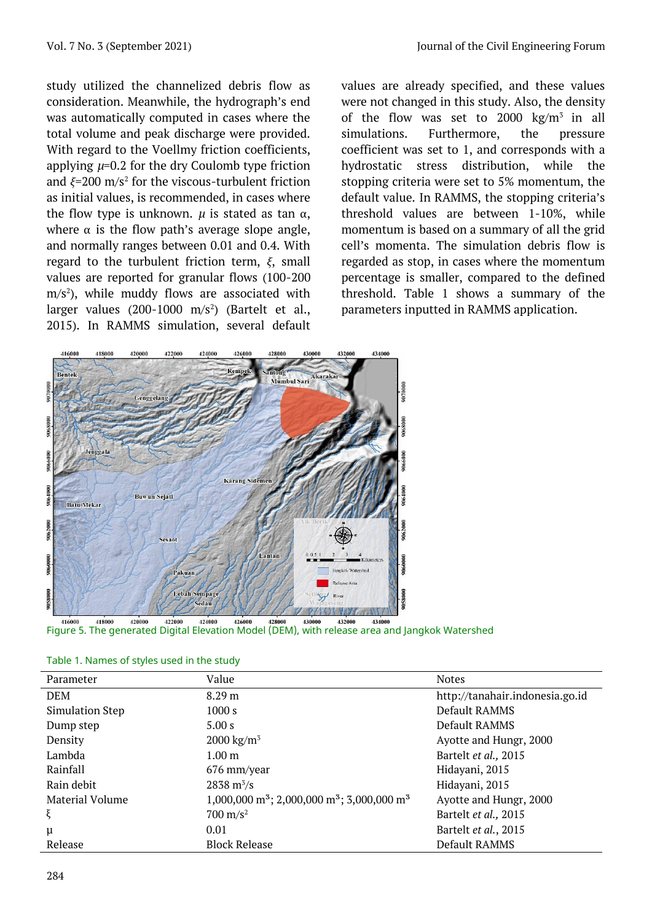study utilized the channelized debris flow as consideration. Meanwhile, the hydrograph's end was automatically computed in cases where the total volume and peak discharge were provided. With regard to the Voellmy friction coefficients, applying *µ*=0.2 for the dry Coulomb type friction and  $\xi$ =200 m/s<sup>2</sup> for the viscous-turbulent friction as initial values, is recommended, in cases where the flow type is unknown.  $\mu$  is stated as tan α, where  $\alpha$  is the flow path's average slope angle, and normally ranges between 0.01 and 0.4. With regard to the turbulent friction term, *ξ*, small values are reported for granular flows (100-200  $m/s<sup>2</sup>$ ), while muddy flows are associated with larger values (200-1000 m/s<sup>2</sup>) (Bartelt et al., 2015). In RAMMS simulation, several default

values are already specified, and these values were not changed in this study. Also, the density of the flow was set to 2000 kg/ $m^3$  in all simulations. Furthermore, the pressure coefficient was set to 1, and corresponds with a hydrostatic stress distribution, while the stopping criteria were set to 5% momentum, the default value. In RAMMS, the stopping criteria's threshold values are between 1-10%, while momentum is based on a summary of all the grid cell's momenta. The simulation debris flow is regarded as stop, in cases where the momentum percentage is smaller, compared to the defined threshold. Table 1 shows a summary of the parameters inputted in RAMMS application.





| Parameter              | Value                                                                          | <b>Notes</b>                    |  |
|------------------------|--------------------------------------------------------------------------------|---------------------------------|--|
| <b>DEM</b>             | 8.29 <sub>m</sub>                                                              | http://tanahair.indonesia.go.id |  |
| <b>Simulation Step</b> | 1000 s                                                                         | Default RAMMS                   |  |
| Dump step              | 5.00 s                                                                         | Default RAMMS                   |  |
| Density                | $2000 \text{ kg/m}^3$                                                          | Ayotte and Hungr, 2000          |  |
| Lambda                 | 1.00 <sub>m</sub>                                                              | Bartelt et al., 2015            |  |
| Rainfall               | 676 mm/year                                                                    | Hidayani, 2015                  |  |
| Rain debit             | $2838 \text{ m}^3/\text{s}$                                                    | Hidayani, 2015                  |  |
| Material Volume        | 1,000,000 m <sup>3</sup> ; 2,000,000 m <sup>3</sup> ; 3,000,000 m <sup>3</sup> | Ayotte and Hungr, 2000          |  |
| ξ                      | $700 \text{ m/s}^2$                                                            | Bartelt et al., 2015            |  |
| $\mu$                  | 0.01                                                                           | Bartelt et al., 2015            |  |
| Release                | <b>Block Release</b>                                                           | Default RAMMS                   |  |

Table 1. Names of styles used in the study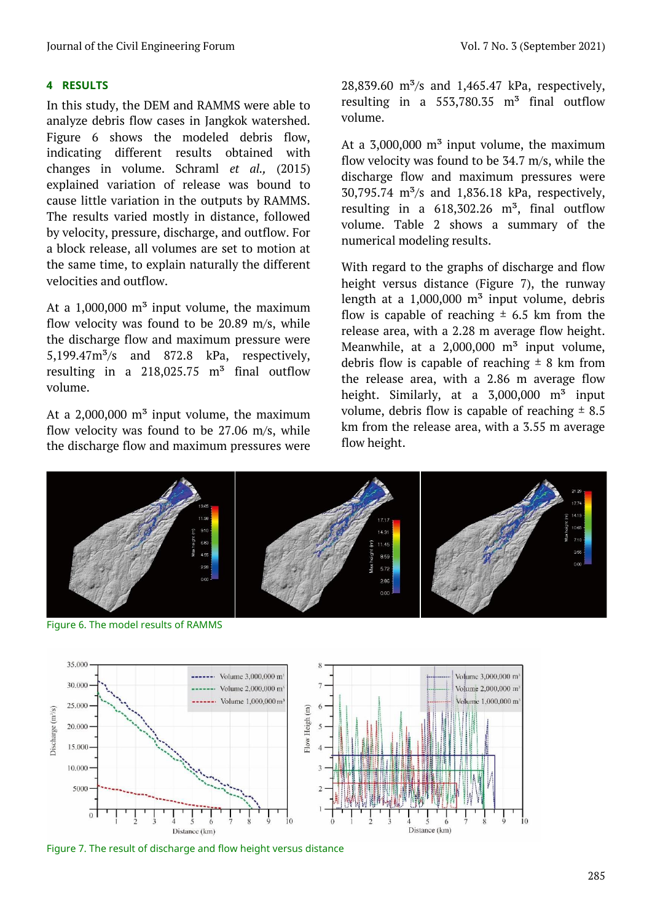## **4 RESULTS**

In this study, the DEM and RAMMS were able to analyze debris flow cases in Jangkok watershed. Figure 6 shows the modeled debris flow, indicating different results obtained with changes in volume. Schraml *et al.,* (2015) explained variation of release was bound to cause little variation in the outputs by RAMMS. The results varied mostly in distance, followed by velocity, pressure, discharge, and outflow. For a block release, all volumes are set to motion at the same time, to explain naturally the different velocities and outflow.

At a  $1,000,000$  m<sup>3</sup> input volume, the maximum flow velocity was found to be 20.89 m/s, while the discharge flow and maximum pressure were  $5.199.47m<sup>3</sup>/s$  and  $872.8$  kPa, respectively, resulting in a  $218,025.75$  m<sup>3</sup> final outflow volume.

At a  $2,000,000$  m<sup>3</sup> input volume, the maximum flow velocity was found to be 27.06 m/s, while the discharge flow and maximum pressures were 28,839.60  $\rm m^3/s$  and 1,465.47 kPa, respectively, resulting in a  $553,780.35$  m<sup>3</sup> final outflow volume.

At a  $3,000,000$  m<sup>3</sup> input volume, the maximum flow velocity was found to be 34.7 m/s, while the discharge flow and maximum pressures were 30,795.74  $\text{m}^3\text{/s}$  and 1,836.18 kPa, respectively, resulting in a  $618,302.26$  m<sup>3</sup>, final outflow volume. Table 2 shows a summary of the numerical modeling results.

With regard to the graphs of discharge and flow height versus distance (Figure 7), the runway length at a  $1,000,000$  m<sup>3</sup> input volume, debris flow is capable of reaching  $\pm$  6.5 km from the release area, with a 2.28 m average flow height. Meanwhile, at a  $2,000,000$  m<sup>3</sup> input volume, debris flow is capable of reaching  $\pm$  8 km from the release area, with a 2.86 m average flow height. Similarly, at a  $3,000,000$  m<sup>3</sup> input volume, debris flow is capable of reaching  $\pm$  8.5 km from the release area, with a 3.55 m average flow height.



Figure 6. The model results of RAMMS



Figure 7. The result of discharge and flow height versus distance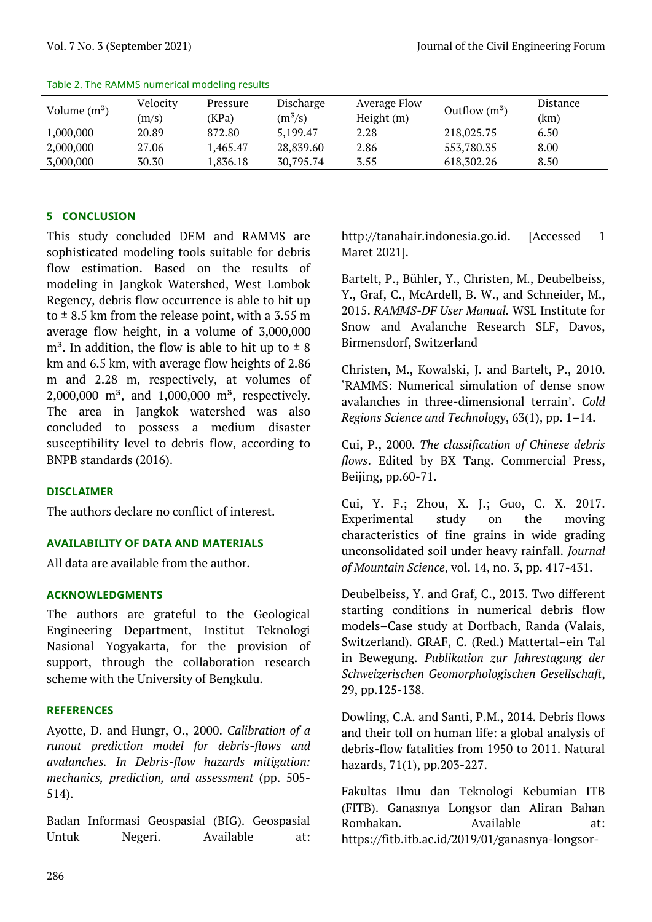| Volume $(m^3)$ | Velocity<br>(m/s) | Pressure<br>(KPa) | Discharge<br>$(m^3/s)$ | <b>Average Flow</b><br>Height (m) | Outflow $(m^3)$ | <b>Distance</b><br>(km) |
|----------------|-------------------|-------------------|------------------------|-----------------------------------|-----------------|-------------------------|
| 1,000,000      | 20.89             | 872.80            | 5,199.47               | 2.28                              | 218,025.75      | 6.50                    |
| 2,000,000      | 27.06             | 1.465.47          | 28,839.60              | 2.86                              | 553,780.35      | 8.00                    |
| 3,000,000      | 30.30             | 1,836.18          | 30,795.74              | 3.55                              | 618,302.26      | 8.50                    |

#### Table 2. The RAMMS numerical modeling results

#### **5 CONCLUSION**

This study concluded DEM and RAMMS are sophisticated modeling tools suitable for debris flow estimation. Based on the results of modeling in Jangkok Watershed, West Lombok Regency, debris flow occurrence is able to hit up to  $\pm$  8.5 km from the release point, with a 3.55 m average flow height, in a volume of 3,000,000  $m<sup>3</sup>$ . In addition, the flow is able to hit up to  $\pm$  8 km and 6.5 km, with average flow heights of 2.86 m and 2.28 m, respectively, at volumes of 2,000,000 m<sup>3</sup>, and 1,000,000 m<sup>3</sup>, respectively. The area in Jangkok watershed was also concluded to possess a medium disaster susceptibility level to debris flow, according to BNPB standards (2016).

#### **DISCLAIMER**

The authors declare no conflict of interest.

#### **AVAILABILITY OF DATA AND MATERIALS**

All data are available from the author.

## **ACKNOWLEDGMENTS**

The authors are grateful to the Geological Engineering Department, Institut Teknologi Nasional Yogyakarta, for the provision of support, through the collaboration research scheme with the University of Bengkulu.

#### **REFERENCES**

Ayotte, D. and Hungr, O., 2000. *Calibration of a runout prediction model for debris-flows and avalanches. In Debris-flow hazards mitigation: mechanics, prediction, and assessment* (pp. 505- 514).

Badan Informasi Geospasial (BIG). Geospasial Untuk Negeri. Available at:

[http://tanahair.indonesia.go.id.](http://tanahair.indonesia.go.id/) [Accessed 1 Maret 2021].

Bartelt, P., Bühler, Y., Christen, M., Deubelbeiss, Y., Graf, C., McArdell, B. W., and Schneider, M., 2015. *RAMMS-DF User Manual.* WSL Institute for Snow and Avalanche Research SLF, Davos, Birmensdorf, Switzerland

Christen, M., Kowalski, J. and Bartelt, P., 2010. 'RAMMS: Numerical simulation of dense snow avalanches in three-dimensional terrain'. *Cold Regions Science and Technology*, 63(1), pp. 1–14.

Cui, P., 2000. *The classification of Chinese debris flows*. Edited by BX Tang. Commercial Press, Beijing, pp.60-71.

Cui, Y. F.; Zhou, X. J.; Guo, C. X. 2017. Experimental study on the moving characteristics of fine grains in wide grading unconsolidated soil under heavy rainfall. *Journal of Mountain Science*, vol. 14, no. 3, pp. 417-431.

Deubelbeiss, Y. and Graf, C., 2013. Two different starting conditions in numerical debris flow models–Case study at Dorfbach, Randa (Valais, Switzerland). GRAF, C. (Red.) Mattertal–ein Tal in Bewegung. *Publikation zur Jahrestagung der Schweizerischen Geomorphologischen Gesellschaft*, 29, pp.125-138.

Dowling, C.A. and Santi, P.M., 2014. Debris flows and their toll on human life: a global analysis of debris-flow fatalities from 1950 to 2011. Natural hazards, 71(1), pp.203-227.

Fakultas Ilmu dan Teknologi Kebumian ITB (FITB). Ganasnya Longsor dan Aliran Bahan Rombakan. Available at: [https://fitb.itb.ac.id/2019/01/ganasnya-longsor-](https://fitb.itb.ac.id/2019/01/ganasnya-longsor-dan-aliran-bahan-rombakan/)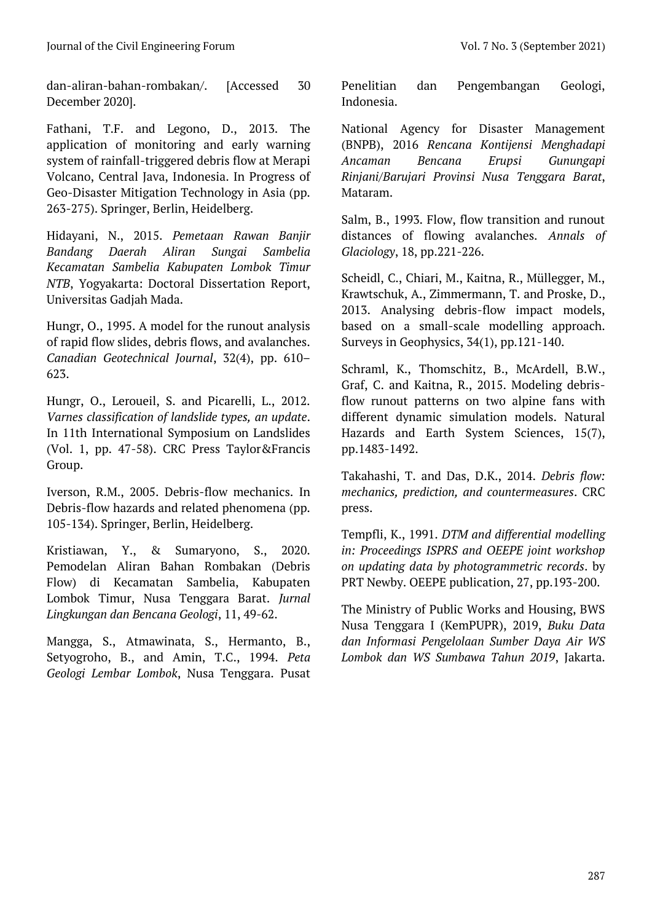[dan-aliran-bahan-rombakan/.](https://fitb.itb.ac.id/2019/01/ganasnya-longsor-dan-aliran-bahan-rombakan/) [Accessed 30 December 2020].

Fathani, T.F. and Legono, D., 2013. The application of monitoring and early warning system of rainfall-triggered debris flow at Merapi Volcano, Central Java, Indonesia. In Progress of Geo-Disaster Mitigation Technology in Asia (pp. 263-275). Springer, Berlin, Heidelberg.

Hidayani, N., 2015. *Pemetaan Rawan Banjir Bandang Daerah Aliran Sungai Sambelia Kecamatan Sambelia Kabupaten Lombok Timur NTB*, Yogyakarta: Doctoral Dissertation Report, Universitas Gadjah Mada.

Hungr, O., 1995. A model for the runout analysis of rapid flow slides, debris flows, and avalanches. *Canadian Geotechnical Journal*, 32(4), pp. 610– 623.

Hungr, O., Leroueil, S. and Picarelli, L., 2012. *Varnes classification of landslide types, an update*. In 11th International Symposium on Landslides (Vol. 1, pp. 47-58). CRC Press Taylor&Francis Group.

Iverson, R.M., 2005. Debris-flow mechanics. In Debris-flow hazards and related phenomena (pp. 105-134). Springer, Berlin, Heidelberg.

Kristiawan, Y., & Sumaryono, S., 2020. Pemodelan Aliran Bahan Rombakan (Debris Flow) di Kecamatan Sambelia, Kabupaten Lombok Timur, Nusa Tenggara Barat. *Jurnal Lingkungan dan Bencana Geologi*, 11, 49-62.

Mangga, S., Atmawinata, S., Hermanto, B., Setyogroho, B., and Amin, T.C., 1994. *Peta Geologi Lembar Lombok*, Nusa Tenggara. Pusat Penelitian dan Pengembangan Geologi, Indonesia.

National Agency for Disaster Management (BNPB), 2016 *Rencana Kontijensi Menghadapi Ancaman Bencana Erupsi Gunungapi Rinjani/Barujari Provinsi Nusa Tenggara Barat*, Mataram.

Salm, B., 1993. Flow, flow transition and runout distances of flowing avalanches. *Annals of Glaciology*, 18, pp.221-226.

Scheidl, C., Chiari, M., Kaitna, R., Müllegger, M., Krawtschuk, A., Zimmermann, T. and Proske, D., 2013. Analysing debris-flow impact models, based on a small-scale modelling approach. Surveys in Geophysics, 34(1), pp.121-140.

Schraml, K., Thomschitz, B., McArdell, B.W., Graf, C. and Kaitna, R., 2015. Modeling debrisflow runout patterns on two alpine fans with different dynamic simulation models. Natural Hazards and Earth System Sciences, 15(7), pp.1483-1492.

Takahashi, T. and Das, D.K., 2014. *Debris flow: mechanics, prediction, and countermeasures*. CRC press.

Tempfli, K., 1991. *DTM and differential modelling in: Proceedings ISPRS and OEEPE joint workshop on updating data by photogrammetric records*. by PRT Newby. OEEPE publication, 27, pp.193-200.

The Ministry of Public Works and Housing, BWS Nusa Tenggara I (KemPUPR), 2019, *Buku Data dan Informasi Pengelolaan Sumber Daya Air WS Lombok dan WS Sumbawa Tahun 2019*, Jakarta.